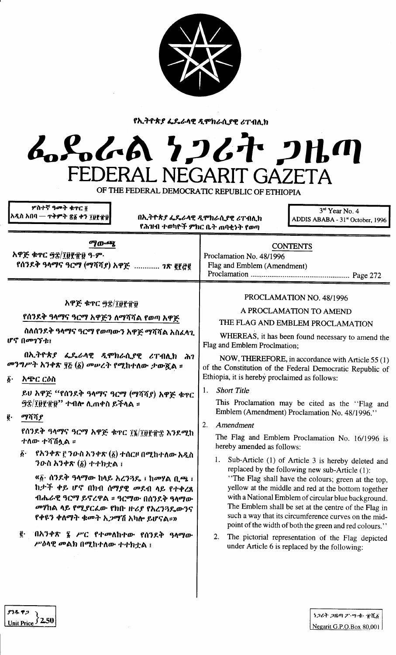

የኢትዮጵያ ፌዴራላዊ ዲሞክራሲያዊ ሪፐብሊክ

## L.S.L.A 7267 2Hm FEDERAL NEGARIT GAZETA

OF THE FEDERAL DEMOCRATIC REPUBLIC OF ETHIOPIA

| ሦስተኛ ዓ <b>መት ቁ</b> ተር <u>ö</u><br> አዲስ አበባ —  ተቅምት ጽ፩ ቀን ፲፱፻፹፱ <br>በኢትዮጵያ ፌዴራላዊ ዲሞክራሲያዊ ሪፐብሊክ<br>የሕዝብ ተወካዮች ምክር ቤት ጠባቂነት የወጣ |                                                                                                                                                                                                                                                                                                                                                    | 3rd Year No. 4<br>ADDIS ABABA - 31ª October, 1996                                                                                                                                                                                                                                                                                                                                                                                                                                                                                                                  |  |
|------------------------------------------------------------------------------------------------------------------------------|----------------------------------------------------------------------------------------------------------------------------------------------------------------------------------------------------------------------------------------------------------------------------------------------------------------------------------------------------|--------------------------------------------------------------------------------------------------------------------------------------------------------------------------------------------------------------------------------------------------------------------------------------------------------------------------------------------------------------------------------------------------------------------------------------------------------------------------------------------------------------------------------------------------------------------|--|
| ማውጫ<br>አዋጅ ቁጥር ፵፰/፲፱፻፹፱ ዓ.ም.<br>የሰንደቅ ዓላማና ዓርማ (ማሻሻያ) አዋጅ  ገጽ ፪፻፭፪<br>አዋጅ ቁጥር ፵፰/፲፱፻፹፱                                       |                                                                                                                                                                                                                                                                                                                                                    | <b>CONTENTS</b><br>Proclamation No. 48/1996<br>Flag and Emblem (Amendment)<br>PROCLAMATION NO. 48/1996                                                                                                                                                                                                                                                                                                                                                                                                                                                             |  |
|                                                                                                                              | የሰንደቅ ዓላማና ዓርማ አዋጅን ለማሻሻል የወጣ አዋጅ                                                                                                                                                                                                                                                                                                                  | A PROCLAMATION TO AMEND<br>THE FLAG AND EMBLEM PROCLAMATION<br>WHEREAS, it has been found necessary to amend the<br>Flag and Emblem Proclmation;                                                                                                                                                                                                                                                                                                                                                                                                                   |  |
|                                                                                                                              | ስለሰንደቅ ዓላማና ዓርማ የወጣውን አዋጅ ማሻሻል አስፈላጊ<br>ሆኖ በመገኘቱ፣                                                                                                                                                                                                                                                                                                  |                                                                                                                                                                                                                                                                                                                                                                                                                                                                                                                                                                    |  |
| በኢትዮጵያ ፌዴራላዊ ዲሞክራሲያዊ ሪፐብሊክ ሕገ<br>መንግሥት አንቀጽ ፶፩ (፩) መሠረት የሚከተለው ታውጇል ፡፡                                                       |                                                                                                                                                                                                                                                                                                                                                    | NOW, THEREFORE, in accordance with Article 55 (1)<br>of the Constitution of the Federal Democratic Republic of                                                                                                                                                                                                                                                                                                                                                                                                                                                     |  |
| $\vec{b}$ .                                                                                                                  | አጭር ርዕስ                                                                                                                                                                                                                                                                                                                                            | Ethiopia, it is hereby proclaimed as follows:<br><b>Short Title</b><br>1.<br>This Proclamation may be cited as the "Flag and<br>Emblem (Amendment) Proclamation No. 48/1996."<br>2.<br>Amendment<br>The Flag and Emblem Proclamation No. 16/1996 is<br>hereby amended as follows:                                                                                                                                                                                                                                                                                  |  |
| g.                                                                                                                           | ይሀ አዋጅ "የሰንደቅ ዓላማና ዓርማ (ማሻሻያ) አዋጅ ቁዋር<br><i>ዓ</i> ፰/፲፱፻፹፱'' ተብሎ ሊጠቀስ ይችላል ፡፡<br>ማሻሻያ                                                                                                                                                                                                                                                               |                                                                                                                                                                                                                                                                                                                                                                                                                                                                                                                                                                    |  |
|                                                                                                                              | የሰንደቅ ዓላማና ዓርማ አዋጅ ቁዋር ፲፮/፲፱፻፹፰ እንደሚከ<br>ተለው ተሻሽሏል ፡፡                                                                                                                                                                                                                                                                                              |                                                                                                                                                                                                                                                                                                                                                                                                                                                                                                                                                                    |  |
|                                                                                                                              | $\tilde{\mathbf{g}}$ · የአንቀጽ ፫ ንዑስ አንቀጽ (፩) ተሰርዞ በሚከተለው አዲስ<br>ንውስ አንቀጽ (፩) ተተክቷል ፤<br>«፩· ሰንደቅ ዓላማው ከላይ አረንጓዴ ፣ ከመሃል ቢጫ ፣<br>ከታች ቀይ ሆኖ በክብ ሰማያዊ መደብ ላይ የተቀረጸ<br>ብሔራዊ ዓርማ ይኖረዋል ፡፡ ዓርማው በሰንደቅ ዓላማው<br>መሃከል ላይ የሚያርፌው የክቡ ዙሪያ የአረንጓዴውንና<br>የቀዩን ቀለማት ቁመት አ <i>ጋ</i> ማሽ አካሎ ይሆናል።»<br>ĝ.<br>በአንቀጽ ፮ ሥር የተመለከተው የሰንደቅ ዓላማው<br>ሥዕላዊ መልክ በሚከተለው ተተክቷል ፤ | 1. Sub-Article (1) of Article 3 is hereby deleted and<br>replaced by the following new sub-Article (1):<br>"The Flag shall have the colours; green at the top,<br>yellow at the middle and red at the bottom together<br>with a National Emblem of circular blue background.<br>The Emblem shall be set at the centre of the Flag in<br>such a way that its circumference curves on the mid-<br>point of the width of both the green and red colours."<br>2.<br>The pictorial representation of the Flag depicted<br>under Article 6 is replaced by the following: |  |

ያንዱ ዋጋ

Unit Price  $\int$  2.50